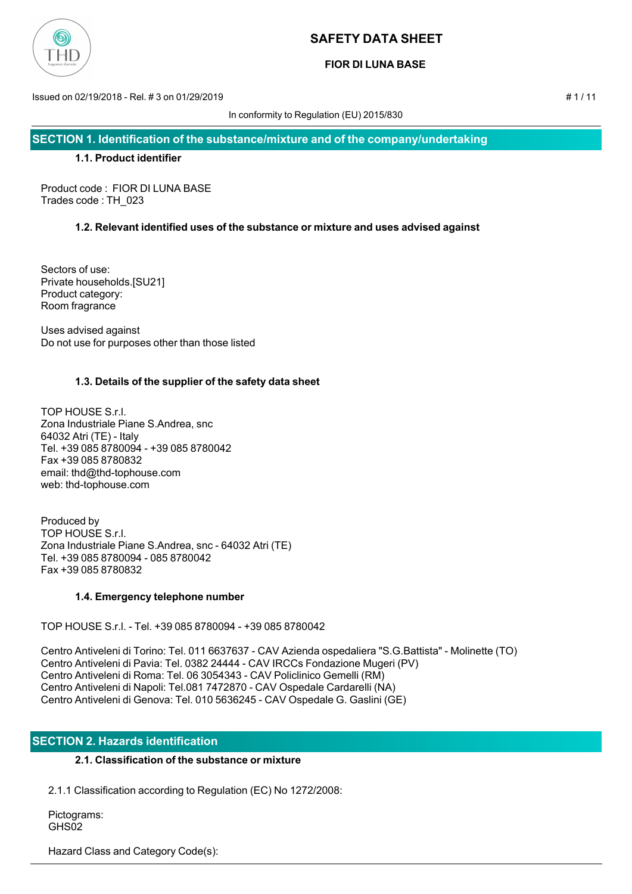

### **FIOR DI LUNA BASE**

Issued on 02/19/2018 - Rel. # 3 on 01/29/2019 # 1 / 11

In conformity to Regulation (EU) 2015/830

**SECTION 1. Identification of the substance/mixture and of the company/undertaking**

### **1.1. Product identifier**

Product code : FIOR DI LUNA BASE Trades code : TH\_023

# **1.2. Relevant identified uses of the substance or mixture and uses advised against**

Sectors of use: Private households.[SU21] Product category: Room fragrance

Uses advised against Do not use for purposes other than those listed

# **1.3. Details of the supplier of the safety data sheet**

TOP HOUSE S.r.l. Zona Industriale Piane S.Andrea, snc 64032 Atri (TE) - Italy Tel. +39 085 8780094 - +39 085 8780042 Fax +39 085 8780832 email: thd@thd-tophouse.com web: thd-tophouse.com

Produced by TOP HOUSE S.r.l. Zona Industriale Piane S.Andrea, snc - 64032 Atri (TE) Tel. +39 085 8780094 - 085 8780042 Fax +39 085 8780832

### **1.4. Emergency telephone number**

TOP HOUSE S.r.l. - Tel. +39 085 8780094 - +39 085 8780042

Centro Antiveleni di Torino: Tel. 011 6637637 - CAV Azienda ospedaliera "S.G.Battista" - Molinette (TO) Centro Antiveleni di Pavia: Tel. 0382 24444 - CAV IRCCs Fondazione Mugeri (PV) Centro Antiveleni di Roma: Tel. 06 3054343 - CAV Policlinico Gemelli (RM) Centro Antiveleni di Napoli: Tel.081 7472870 - CAV Ospedale Cardarelli (NA) Centro Antiveleni di Genova: Tel. 010 5636245 - CAV Ospedale G. Gaslini (GE)

### **SECTION 2. Hazards identification**

# **2.1. Classification of the substance or mixture**

2.1.1 Classification according to Regulation (EC) No 1272/2008:

 Pictograms: GHS<sub>02</sub>

Hazard Class and Category Code(s):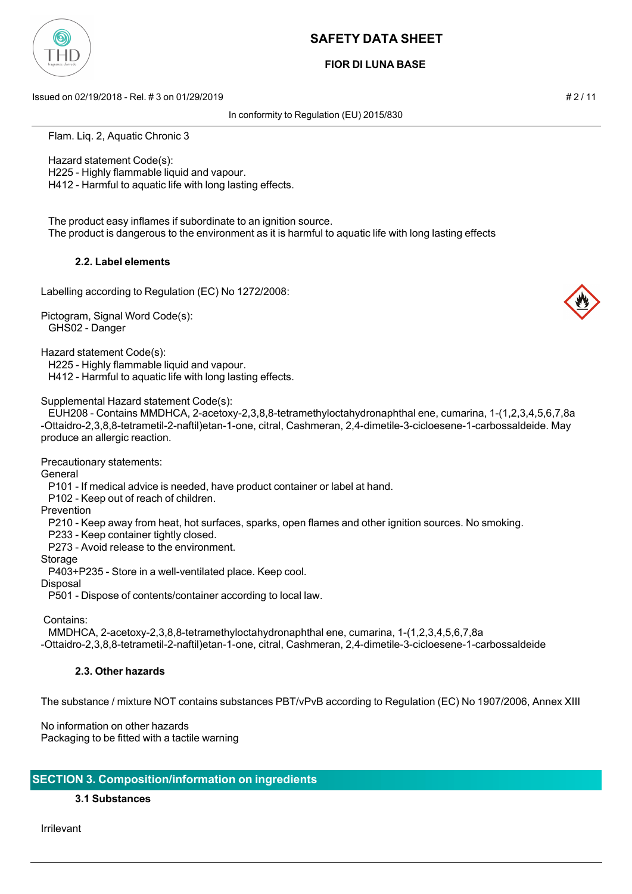

### **FIOR DI LUNA BASE**

Issued on 02/19/2018 - Rel. # 3 on 01/29/2019 # 2 / 11

In conformity to Regulation (EU) 2015/830

Flam. Liq. 2, Aquatic Chronic 3

Hazard statement Code(s):

H225 - Highly flammable liquid and vapour.

H412 - Harmful to aquatic life with long lasting effects.

 The product easy inflames if subordinate to an ignition source. The product is dangerous to the environment as it is harmful to aquatic life with long lasting effects

# **2.2. Label elements**

Labelling according to Regulation (EC) No 1272/2008:

Pictogram, Signal Word Code(s): GHS02 - Danger

Hazard statement Code(s):

H225 - Highly flammable liquid and vapour.

H412 - Harmful to aquatic life with long lasting effects.

### Supplemental Hazard statement Code(s):

 EUH208 - Contains MMDHCA, 2-acetoxy-2,3,8,8-tetramethyloctahydronaphthal ene, cumarina, 1-(1,2,3,4,5,6,7,8a -Ottaidro-2,3,8,8-tetrametil-2-naftil)etan-1-one, citral, Cashmeran, 2,4-dimetile-3-cicloesene-1-carbossaldeide. May produce an allergic reaction.

Precautionary statements:

General

P101 - If medical advice is needed, have product container or label at hand.

P102 - Keep out of reach of children.

Prevention

P210 - Keep away from heat, hot surfaces, sparks, open flames and other ignition sources. No smoking.

P233 - Keep container tightly closed.

P273 - Avoid release to the environment.

Storage

P403+P235 - Store in a well-ventilated place. Keep cool.

Disposal

P501 - Dispose of contents/container according to local law.

Contains:

 MMDHCA, 2-acetoxy-2,3,8,8-tetramethyloctahydronaphthal ene, cumarina, 1-(1,2,3,4,5,6,7,8a -Ottaidro-2,3,8,8-tetrametil-2-naftil)etan-1-one, citral, Cashmeran, 2,4-dimetile-3-cicloesene-1-carbossaldeide

# **2.3. Other hazards**

The substance / mixture NOT contains substances PBT/vPvB according to Regulation (EC) No 1907/2006, Annex XIII

No information on other hazards Packaging to be fitted with a tactile warning

# **SECTION 3. Composition/information on ingredients**

**3.1 Substances**

Irrilevant

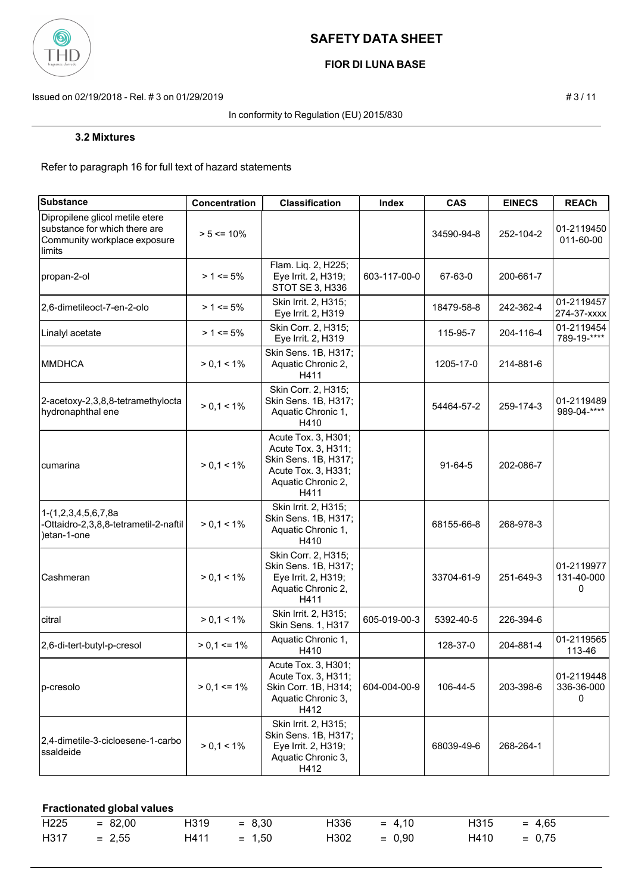

# **FIOR DI LUNA BASE**

Issued on 02/19/2018 - Rel. # 3 on 01/29/2019 **# 3** / 11

#### In conformity to Regulation (EU) 2015/830

Refer to paragraph 16 for full text of hazard statements

| <b>Substance</b>                                                                                           | Concentration   | <b>Classification</b>                                                                                                   | Index        | <b>CAS</b> | <b>EINECS</b> | <b>REACh</b>                  |
|------------------------------------------------------------------------------------------------------------|-----------------|-------------------------------------------------------------------------------------------------------------------------|--------------|------------|---------------|-------------------------------|
| Dipropilene glicol metile etere<br>substance for which there are<br>Community workplace exposure<br>limits | $> 5 \le 10\%$  |                                                                                                                         |              | 34590-94-8 | 252-104-2     | 01-2119450<br>011-60-00       |
| propan-2-ol                                                                                                | $> 1 \le 5\%$   | Flam. Liq. 2, H225;<br>Eye Irrit. 2, H319;<br>STOT SE 3, H336                                                           | 603-117-00-0 | 67-63-0    | 200-661-7     |                               |
| 2,6-dimetileoct-7-en-2-olo                                                                                 | $>1$ <= 5%      | Skin Irrit. 2, H315;<br>Eye Irrit. 2, H319                                                                              |              | 18479-58-8 | 242-362-4     | 01-2119457<br>274-37-xxxx     |
| Linalyl acetate                                                                                            | $> 1 \le 5\%$   | Skin Corr. 2, H315;<br>Eye Irrit. 2, H319                                                                               |              | 115-95-7   | 204-116-4     | 01-2119454<br>789-19-****     |
| IMMDHCA                                                                                                    | $> 0,1 < 1\%$   | Skin Sens. 1B, H317;<br>Aquatic Chronic 2,<br>H411                                                                      |              | 1205-17-0  | 214-881-6     |                               |
| 2-acetoxy-2,3,8,8-tetramethylocta<br>hydronaphthal ene                                                     | $> 0, 1 < 1\%$  | Skin Corr. 2, H315;<br>Skin Sens. 1B, H317;<br>Aquatic Chronic 1,<br>H410                                               |              | 54464-57-2 | 259-174-3     | 01-2119489<br>989-04-****     |
| cumarina                                                                                                   | $> 0, 1 < 1\%$  | Acute Tox. 3, H301;<br>Acute Tox. 3, H311;<br>Skin Sens. 1B, H317;<br>Acute Tox. 3, H331;<br>Aquatic Chronic 2,<br>H411 |              | $91-64-5$  | 202-086-7     |                               |
| 1-(1,2,3,4,5,6,7,8a<br>-Ottaidro-2,3,8,8-tetrametil-2-naftil<br>)etan-1-one                                | $> 0, 1 < 1\%$  | Skin Irrit. 2, H315;<br>Skin Sens. 1B, H317;<br>Aquatic Chronic 1,<br>H410                                              |              | 68155-66-8 | 268-978-3     |                               |
| Cashmeran                                                                                                  | $> 0.1 < 1\%$   | Skin Corr. 2, H315;<br>Skin Sens. 1B, H317;<br>Eye Irrit. 2, H319;<br>Aquatic Chronic 2,<br>H411                        |              | 33704-61-9 | 251-649-3     | 01-2119977<br>131-40-000<br>0 |
| citral                                                                                                     | $> 0, 1 < 1\%$  | Skin Irrit. 2, H315;<br>Skin Sens. 1, H317                                                                              | 605-019-00-3 | 5392-40-5  | 226-394-6     |                               |
| 2,6-di-tert-butyl-p-cresol                                                                                 | $> 0,1 \le 1\%$ | Aquatic Chronic 1,<br>H410                                                                                              |              | 128-37-0   | 204-881-4     | 01-2119565<br>113-46          |
| p-cresolo                                                                                                  | $> 0.1 \le 1\%$ | Acute Tox. 3, H301;<br>Acute Tox. 3, H311;<br>Skin Corr. 1B, H314;<br>Aquatic Chronic 3,<br>H412                        | 604-004-00-9 | 106-44-5   | 203-398-6     | 01-2119448<br>336-36-000<br>0 |
| 2,4-dimetile-3-cicloesene-1-carbo<br>ssaldeide                                                             | $> 0, 1 < 1\%$  | Skin Irrit. 2, H315;<br>Skin Sens. 1B, H317;<br>Eye Irrit. 2, H319;<br>Aquatic Chronic 3,<br>H412                       |              | 68039-49-6 | 268-264-1     |                               |

# **Fractionated global values**

| $H225 = 82,00$ | $H319 = 8,30$ | $H336 = 4.10$ | $H315 = 4.65$ |  |
|----------------|---------------|---------------|---------------|--|
| $H317 = 2,55$  | $H411 = 1,50$ | $H302 = 0.90$ | $H410 = 0.75$ |  |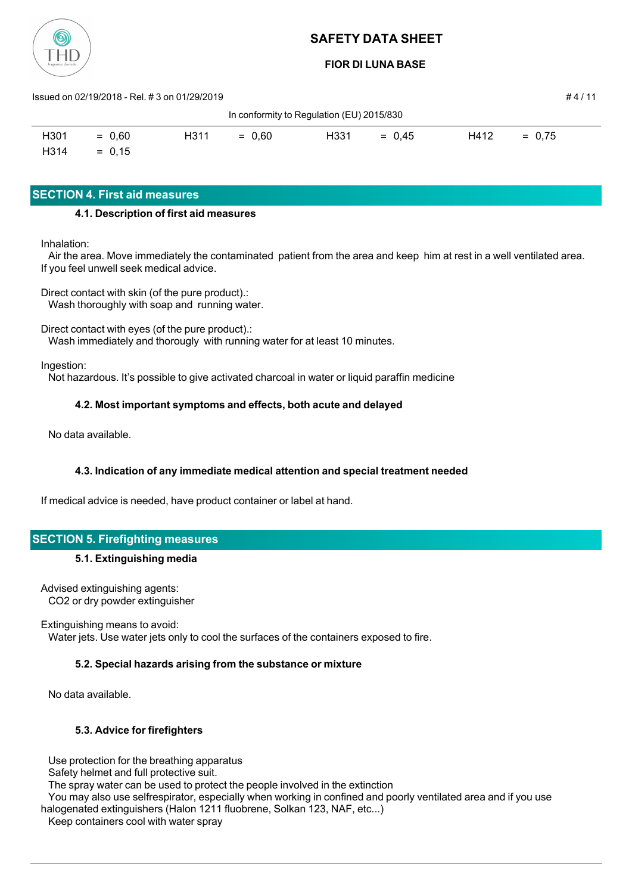

**FIOR DI LUNA BASE**

| Issued on 02/19/2018 - Rel. # 3 on 01/29/2019 |          |                   |          |      |          |      | #4/11    |  |
|-----------------------------------------------|----------|-------------------|----------|------|----------|------|----------|--|
| In conformity to Regulation (EU) 2015/830     |          |                   |          |      |          |      |          |  |
| H301                                          | $= 0.60$ | H <sub>3</sub> 11 | $= 0.60$ | H331 | $= 0.45$ | H412 | $= 0.75$ |  |
| H314                                          | $= 0.15$ |                   |          |      |          |      |          |  |

# **SECTION 4. First aid measures**

### **4.1. Description of first aid measures**

Inhalation:

 Air the area. Move immediately the contaminated patient from the area and keep him at rest in a well ventilated area. If you feel unwell seek medical advice.

Direct contact with skin (of the pure product).: Wash thoroughly with soap and running water.

Direct contact with eyes (of the pure product).:

Wash immediately and thorougly with running water for at least 10 minutes.

Ingestion:

Not hazardous. It's possible to give activated charcoal in water or liquid paraffin medicine

# **4.2. Most important symptoms and effects, both acute and delayed**

No data available.

### **4.3. Indication of any immediate medical attention and special treatment needed**

If medical advice is needed, have product container or label at hand.

### **SECTION 5. Firefighting measures**

### **5.1. Extinguishing media**

Advised extinguishing agents: CO2 or dry powder extinguisher

Extinguishing means to avoid:

Water jets. Use water jets only to cool the surfaces of the containers exposed to fire.

### **5.2. Special hazards arising from the substance or mixture**

No data available.

### **5.3. Advice for firefighters**

Use protection for the breathing apparatus

Safety helmet and full protective suit.

The spray water can be used to protect the people involved in the extinction

You may also use selfrespirator, especially when working in confined and poorly ventilated area and if you use

halogenated extinguishers (Halon 1211 fluobrene, Solkan 123, NAF, etc...)

Keep containers cool with water spray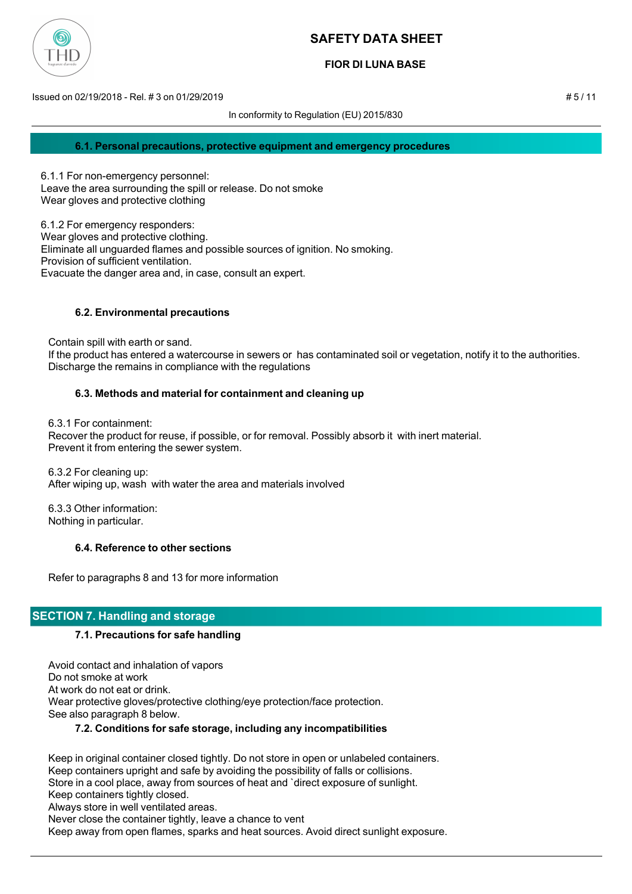

### **FIOR DI LUNA BASE**

Issued on 02/19/2018 - Rel. # 3 on 01/29/2019 # 5 / 11

In conformity to Regulation (EU) 2015/830

#### **6.1. Personal precautions, protective equipment and emergency procedures**

6.1.1 For non-emergency personnel: Leave the area surrounding the spill or release. Do not smoke Wear gloves and protective clothing

6.1.2 For emergency responders: Wear gloves and protective clothing. Eliminate all unguarded flames and possible sources of ignition. No smoking. Provision of sufficient ventilation. Evacuate the danger area and, in case, consult an expert.

### **6.2. Environmental precautions**

 Contain spill with earth or sand. If the product has entered a watercourse in sewers or has contaminated soil or vegetation, notify it to the authorities. Discharge the remains in compliance with the regulations

#### **6.3. Methods and material for containment and cleaning up**

6.3.1 For containment:

 Recover the product for reuse, if possible, or for removal. Possibly absorb it with inert material. Prevent it from entering the sewer system.

 6.3.2 For cleaning up: After wiping up, wash with water the area and materials involved

 6.3.3 Other information: Nothing in particular.

### **6.4. Reference to other sections**

Refer to paragraphs 8 and 13 for more information

### **SECTION 7. Handling and storage**

#### **7.1. Precautions for safe handling**

 Avoid contact and inhalation of vapors Do not smoke at work At work do not eat or drink. Wear protective gloves/protective clothing/eye protection/face protection. See also paragraph 8 below.

### **7.2. Conditions for safe storage, including any incompatibilities**

 Keep in original container closed tightly. Do not store in open or unlabeled containers. Keep containers upright and safe by avoiding the possibility of falls or collisions. Store in a cool place, away from sources of heat and `direct exposure of sunlight. Keep containers tightly closed. Always store in well ventilated areas.

Never close the container tightly, leave a chance to vent

Keep away from open flames, sparks and heat sources. Avoid direct sunlight exposure.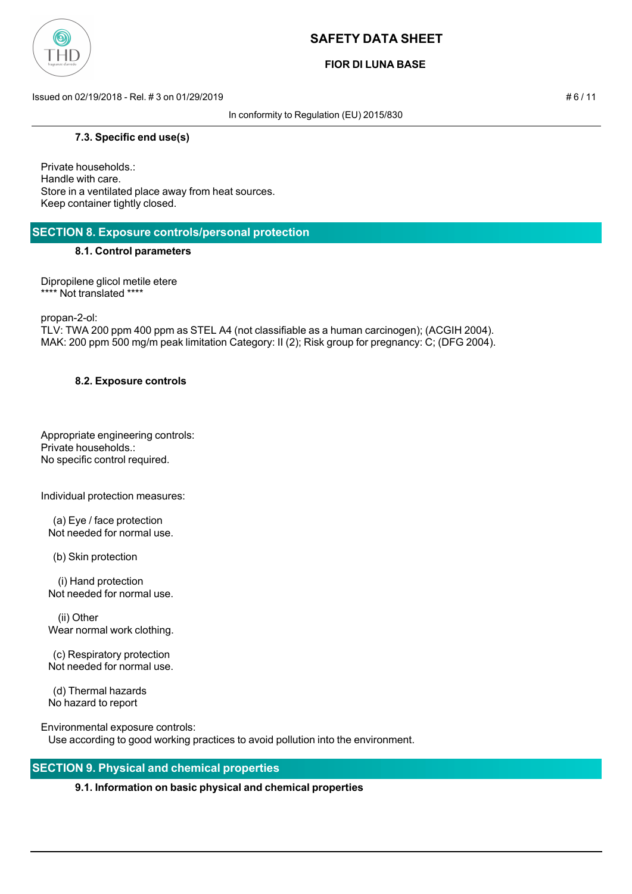

### **FIOR DI LUNA BASE**

Issued on 02/19/2018 - Rel. # 3 on 01/29/2019 # 6 / 11

In conformity to Regulation (EU) 2015/830

### **7.3. Specific end use(s)**

Private households.: Handle with care. Store in a ventilated place away from heat sources. Keep container tightly closed.

# **SECTION 8. Exposure controls/personal protection**

#### **8.1. Control parameters**

Dipropilene glicol metile etere \*\*\*\* Not translated \*\*\*\*

propan-2-ol:

TLV: TWA 200 ppm 400 ppm as STEL A4 (not classifiable as a human carcinogen); (ACGIH 2004). MAK: 200 ppm 500 mg/m peak limitation Category: II (2); Risk group for pregnancy: C; (DFG 2004).

#### **8.2. Exposure controls**

Appropriate engineering controls: Private households.: No specific control required.

Individual protection measures:

 (a) Eye / face protection Not needed for normal use.

(b) Skin protection

 (i) Hand protection Not needed for normal use.

 (ii) Other Wear normal work clothing.

 (c) Respiratory protection Not needed for normal use.

 (d) Thermal hazards No hazard to report

Environmental exposure controls: Use according to good working practices to avoid pollution into the environment.

# **SECTION 9. Physical and chemical properties**

### **9.1. Information on basic physical and chemical properties**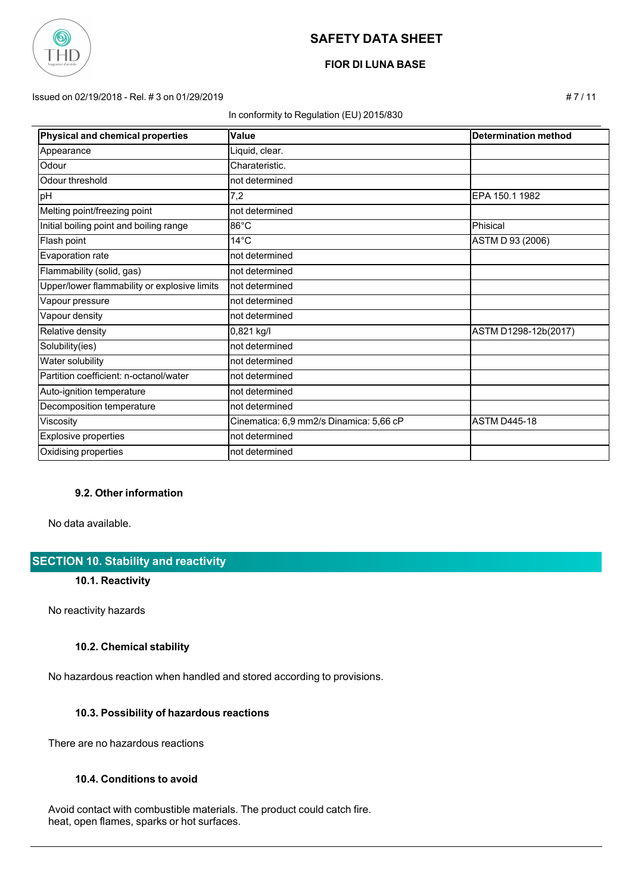

# **FIOR DI LUNA BASE**

#### Issued on 02/19/2018 - Rel. # 3 on 01/29/2019 # 7 / 11

#### In conformity to Regulation (EU) 2015/830

| Physical and chemical properties             | <b>Value</b>                            | <b>Determination method</b> |
|----------------------------------------------|-----------------------------------------|-----------------------------|
| Appearance                                   | Liquid, clear.                          |                             |
| Odour                                        | Charateristic.                          |                             |
| Odour threshold                              | not determined                          |                             |
| pH                                           | 7,2                                     | EPA 150.1 1982              |
| Melting point/freezing point                 | not determined                          |                             |
| Initial boiling point and boiling range      | 86°C                                    | Phisical                    |
| Flash point                                  | $14^{\circ}$ C                          | ASTM D 93 (2006)            |
| Evaporation rate                             | not determined                          |                             |
| Flammability (solid, gas)                    | not determined                          |                             |
| Upper/lower flammability or explosive limits | not determined                          |                             |
| Vapour pressure                              | not determined                          |                             |
| Vapour density                               | not determined                          |                             |
| Relative density                             | 0,821 kg/l                              | ASTM D1298-12b(2017)        |
| Solubility(ies)                              | not determined                          |                             |
| Water solubility                             | not determined                          |                             |
| Partition coefficient: n-octanol/water       | not determined                          |                             |
| Auto-ignition temperature                    | not determined                          |                             |
| Decomposition temperature                    | not determined                          |                             |
| Viscosity                                    | Cinematica: 6,9 mm2/s Dinamica: 5,66 cP | <b>ASTM D445-18</b>         |
| <b>Explosive properties</b>                  | not determined                          |                             |
| Oxidising properties                         | not determined                          |                             |

### **9.2. Other information**

No data available.

# **SECTION 10. Stability and reactivity**

#### **10.1. Reactivity**

No reactivity hazards

### **10.2. Chemical stability**

No hazardous reaction when handled and stored according to provisions.

#### **10.3. Possibility of hazardous reactions**

There are no hazardous reactions

#### **10.4. Conditions to avoid**

 Avoid contact with combustible materials. The product could catch fire. heat, open flames, sparks or hot surfaces.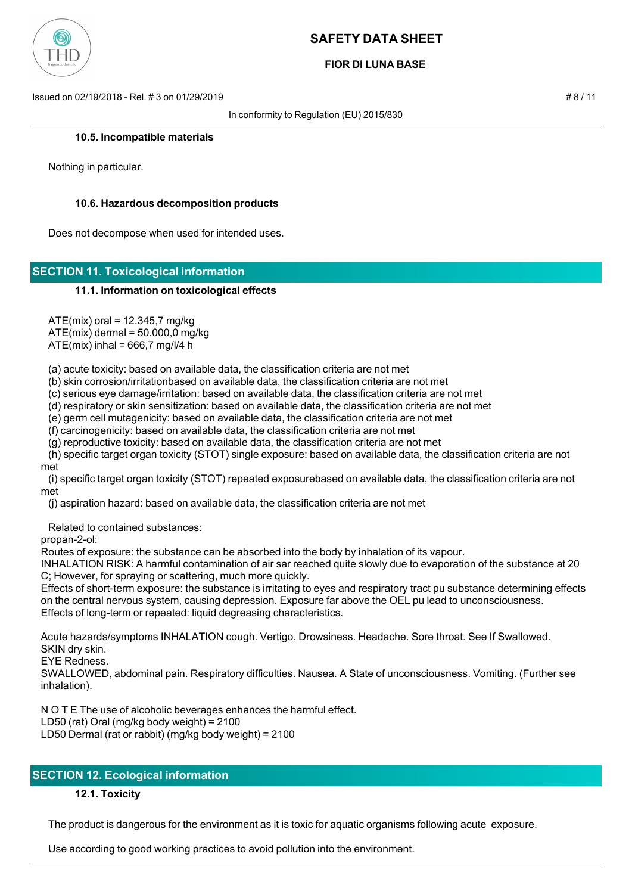

### **FIOR DI LUNA BASE**

Issued on 02/19/2018 - Rel. # 3 on 01/29/2019 # 8 / 11

In conformity to Regulation (EU) 2015/830

#### **10.5. Incompatible materials**

Nothing in particular.

#### **10.6. Hazardous decomposition products**

Does not decompose when used for intended uses.

### **SECTION 11. Toxicological information**

#### **11.1. Information on toxicological effects**

 $ATE(min)$  oral = 12.345,7 mg/kg  $ATE(mix)$  dermal =  $50.000,0$  mg/kg

 $ATE(min)$  inhal = 666,7 mg/l/4 h

(a) acute toxicity: based on available data, the classification criteria are not met

(b) skin corrosion/irritationbased on available data, the classification criteria are not met

(c) serious eye damage/irritation: based on available data, the classification criteria are not met

(d) respiratory or skin sensitization: based on available data, the classification criteria are not met

(e) germ cell mutagenicity: based on available data, the classification criteria are not met

(f) carcinogenicity: based on available data, the classification criteria are not met

(g) reproductive toxicity: based on available data, the classification criteria are not met

 (h) specific target organ toxicity (STOT) single exposure: based on available data, the classification criteria are not met

 (i) specific target organ toxicity (STOT) repeated exposurebased on available data, the classification criteria are not met

(j) aspiration hazard: based on available data, the classification criteria are not met

Related to contained substances:

propan-2-ol:

Routes of exposure: the substance can be absorbed into the body by inhalation of its vapour.

INHALATION RISK: A harmful contamination of air sar reached quite slowly due to evaporation of the substance at 20 C; However, for spraying or scattering, much more quickly.

Effects of short-term exposure: the substance is irritating to eyes and respiratory tract pu substance determining effects on the central nervous system, causing depression. Exposure far above the OEL pu lead to unconsciousness. Effects of long-term or repeated: liquid degreasing characteristics.

Acute hazards/symptoms INHALATION cough. Vertigo. Drowsiness. Headache. Sore throat. See If Swallowed. SKIN dry skin.

EYE Redness.

SWALLOWED, abdominal pain. Respiratory difficulties. Nausea. A State of unconsciousness. Vomiting. (Further see inhalation).

N O T E The use of alcoholic beverages enhances the harmful effect.

LD50 (rat) Oral (mg/kg body weight) = 2100

LD50 Dermal (rat or rabbit) (mg/kg body weight) = 2100

# **SECTION 12. Ecological information**

### **12.1. Toxicity**

The product is dangerous for the environment as it is toxic for aquatic organisms following acute exposure.

Use according to good working practices to avoid pollution into the environment.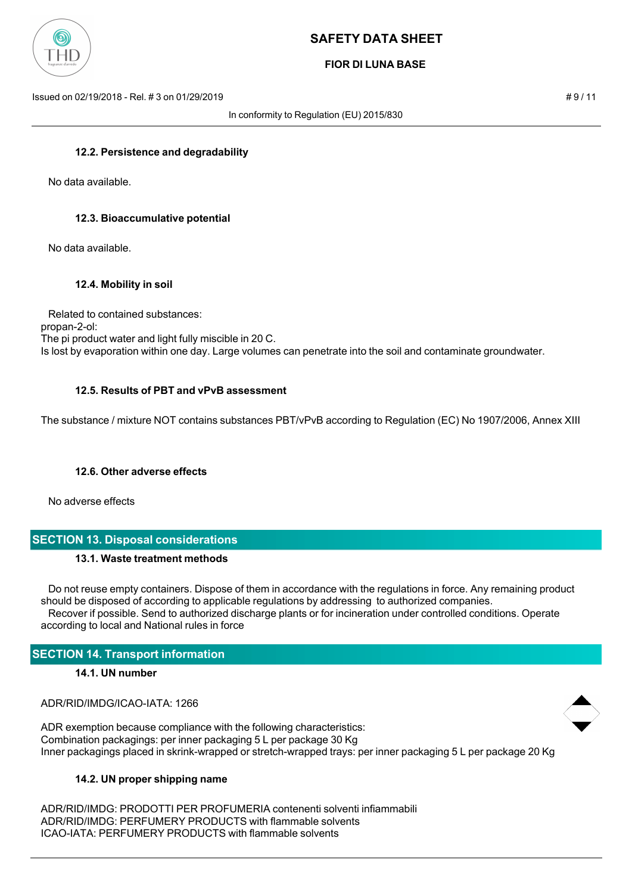

### **FIOR DI LUNA BASE**

Issued on 02/19/2018 - Rel. # 3 on 01/29/2019 **# 9 / 11**  $\neq$  9 / 11

In conformity to Regulation (EU) 2015/830

#### **12.2. Persistence and degradability**

No data available.

#### **12.3. Bioaccumulative potential**

No data available.

#### **12.4. Mobility in soil**

 Related to contained substances: propan-2-ol: The pi product water and light fully miscible in 20 C. Is lost by evaporation within one day. Large volumes can penetrate into the soil and contaminate groundwater.

#### **12.5. Results of PBT and vPvB assessment**

The substance / mixture NOT contains substances PBT/vPvB according to Regulation (EC) No 1907/2006, Annex XIII

#### **12.6. Other adverse effects**

No adverse effects

# **SECTION 13. Disposal considerations**

#### **13.1. Waste treatment methods**

 Do not reuse empty containers. Dispose of them in accordance with the regulations in force. Any remaining product should be disposed of according to applicable regulations by addressing to authorized companies. Recover if possible. Send to authorized discharge plants or for incineration under controlled conditions. Operate according to local and National rules in force

### **SECTION 14. Transport information**

#### **14.1. UN number**

ADR/RID/IMDG/ICAO-IATA: 1266

ADR exemption because compliance with the following characteristics: Combination packagings: per inner packaging 5 L per package 30 Kg Inner packagings placed in skrink-wrapped or stretch-wrapped trays: per inner packaging 5 L per package 20 Kg

### **14.2. UN proper shipping name**

ADR/RID/IMDG: PRODOTTI PER PROFUMERIA contenenti solventi infiammabili ADR/RID/IMDG: PERFUMERY PRODUCTS with flammable solvents ICAO-IATA: PERFUMERY PRODUCTS with flammable solvents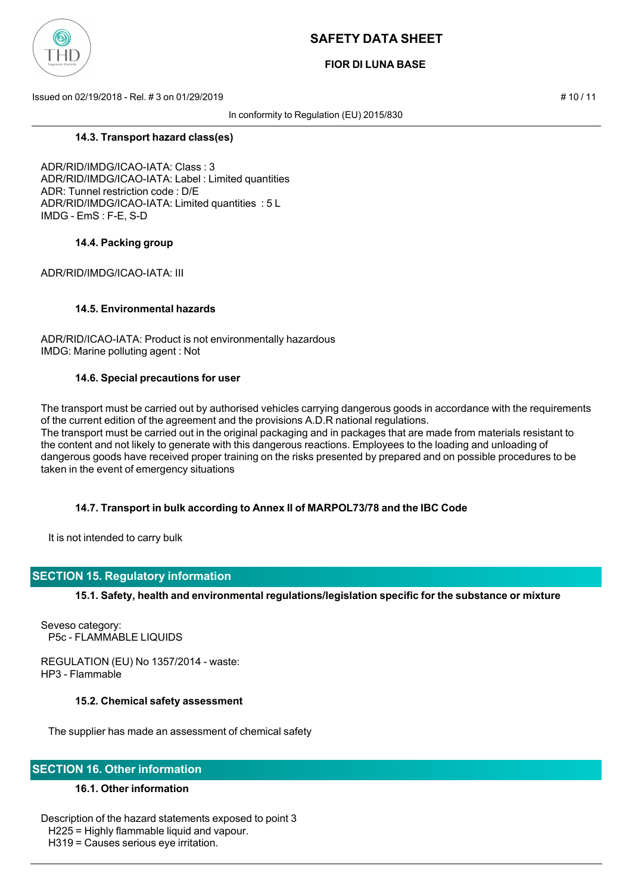

### **FIOR DI LUNA BASE**

Issued on 02/19/2018 - Rel. # 3 on 01/29/2019 # 10 / 11

In conformity to Regulation (EU) 2015/830

**14.3. Transport hazard class(es)**

ADR/RID/IMDG/ICAO-IATA: Class : 3 ADR/RID/IMDG/ICAO-IATA: Label : Limited quantities ADR: Tunnel restriction code : D/E ADR/RID/IMDG/ICAO-IATA: Limited quantities : 5 L IMDG - EmS : F-E, S-D

### **14.4. Packing group**

ADR/RID/IMDG/ICAO-IATA: III

### **14.5. Environmental hazards**

ADR/RID/ICAO-IATA: Product is not environmentally hazardous IMDG: Marine polluting agent : Not

#### **14.6. Special precautions for user**

The transport must be carried out by authorised vehicles carrying dangerous goods in accordance with the requirements of the current edition of the agreement and the provisions A.D.R national regulations. The transport must be carried out in the original packaging and in packages that are made from materials resistant to the content and not likely to generate with this dangerous reactions. Employees to the loading and unloading of dangerous goods have received proper training on the risks presented by prepared and on possible procedures to be taken in the event of emergency situations

### **14.7. Transport in bulk according to Annex II of MARPOL73/78 and the IBC Code**

It is not intended to carry bulk

### **SECTION 15. Regulatory information**

**15.1. Safety, health and environmental regulations/legislation specific for the substance or mixture**

Seveso category: P5c - FLAMMABLE LIQUIDS

REGULATION (EU) No 1357/2014 - waste: HP3 - Flammable

#### **15.2. Chemical safety assessment**

The supplier has made an assessment of chemical safety

### **SECTION 16. Other information**

### **16.1. Other information**

Description of the hazard statements exposed to point 3 H225 = Highly flammable liquid and vapour. H319 = Causes serious eye irritation.